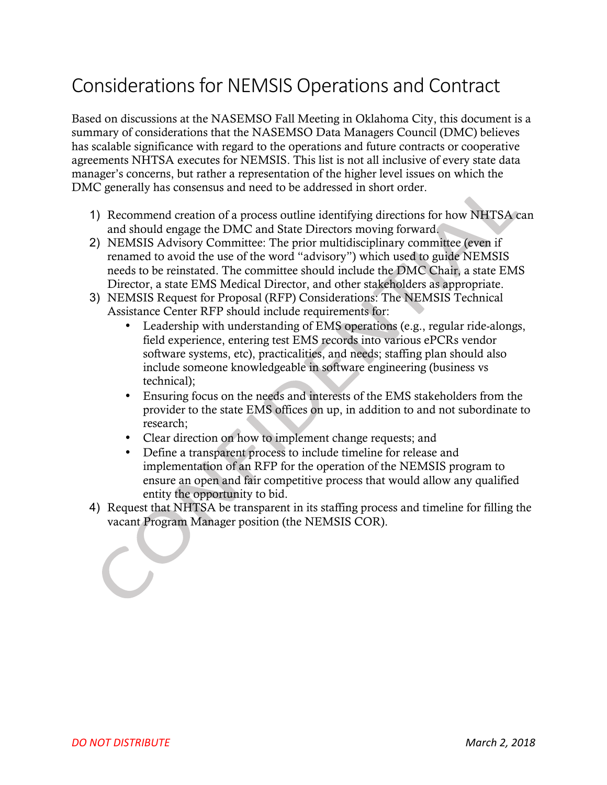# Considerations for NEMSIS Operations and Contract

Based on discussions at the NASEMSO Fall Meeting in Oklahoma City, this document is a summary of considerations that the NASEMSO Data Managers Council (DMC) believes has scalable significance with regard to the operations and future contracts or cooperative agreements NHTSA executes for NEMSIS. This list is not all inclusive of every state data manager's concerns, but rather a representation of the higher level issues on which the DMC generally has consensus and need to be addressed in short order.

- 1) Recommend creation of a process outline identifying directions for how NHTSA can and should engage the DMC and State Directors moving forward.
- 2) NEMSIS Advisory Committee: The prior multidisciplinary committee (even if renamed to avoid the use of the word "advisory") which used to guide NEMSIS needs to be reinstated. The committee should include the DMC Chair, a state EMS Director, a state EMS Medical Director, and other stakeholders as appropriate.
- 3) NEMSIS Request for Proposal (RFP) Considerations: The NEMSIS Technical Assistance Center RFP should include requirements for:
	- Leadership with understanding of EMS operations (e.g., regular ride-alongs, field experience, entering test EMS records into various ePCRs vendor software systems, etc), practicalities, and needs; staffing plan should also include someone knowledgeable in software engineering (business vs technical);
	- Ensuring focus on the needs and interests of the EMS stakeholders from the provider to the state EMS offices on up, in addition to and not subordinate to research;
	- Clear direction on how to implement change requests; and
	- Define a transparent process to include timeline for release and implementation of an RFP for the operation of the NEMSIS program to ensure an open and fair competitive process that would allow any qualified entity the opportunity to bid.
- 4) Request that NHTSA be transparent in its staffing process and timeline for filling the vacant Program Manager position (the NEMSIS COR).